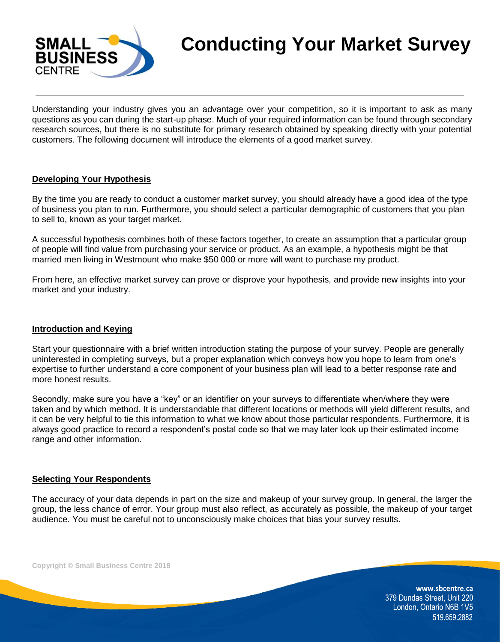

# **Conducting Your Market Survey**

Understanding your industry gives you an advantage over your competition, so it is important to ask as many questions as you can during the start-up phase. Much of your required information can be found through secondary research sources, but there is no substitute for primary research obtained by speaking directly with your potential customers. The following document will introduce the elements of a good market survey.

## **Developing Your Hypothesis**

By the time you are ready to conduct a customer market survey, you should already have a good idea of the type of business you plan to run. Furthermore, you should select a particular demographic of customers that you plan to sell to, known as your target market.

A successful hypothesis combines both of these factors together, to create an assumption that a particular group of people will find value from purchasing your service or product. As an example, a hypothesis might be that married men living in Westmount who make \$50 000 or more will want to purchase my product.

From here, an effective market survey can prove or disprove your hypothesis, and provide new insights into your market and your industry.

#### **Introduction and Keying**

Start your questionnaire with a brief written introduction stating the purpose of your survey. People are generally uninterested in completing surveys, but a proper explanation which conveys how you hope to learn from one's expertise to further understand a core component of your business plan will lead to a better response rate and more honest results.

Secondly, make sure you have a "key" or an identifier on your surveys to differentiate when/where they were taken and by which method. It is understandable that different locations or methods will yield different results, and it can be very helpful to tie this information to what we know about those particular respondents. Furthermore, it is always good practice to record a respondent's postal code so that we may later look up their estimated income range and other information.

#### **Selecting Your Respondents**

The accuracy of your data depends in part on the size and makeup of your survey group. In general, the larger the group, the less chance of error. Your group must also reflect, as accurately as possible, the makeup of your target audience. You must be careful not to unconsciously make choices that bias your survey results.

**Copyright © Small Business Centre 2018**

www.sbcentre.ca 379 Dundas Street, Unit 220 London, Ontario N6B 1V5 519.659.2882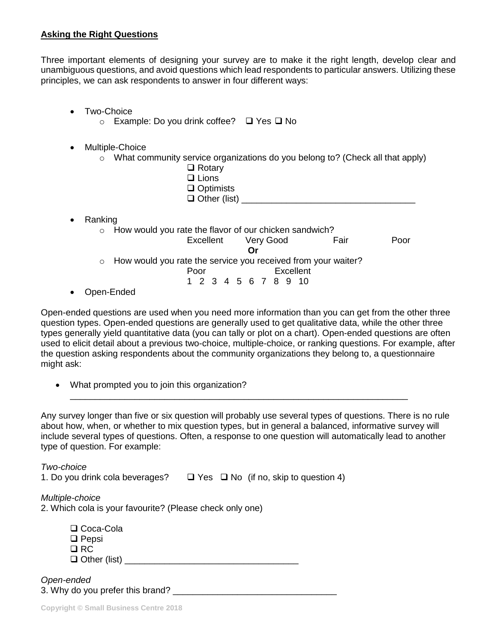## **Asking the Right Questions**

Three important elements of designing your survey are to make it the right length, develop clear and unambiguous questions, and avoid questions which lead respondents to particular answers. Utilizing these principles, we can ask respondents to answer in four different ways:

- Two-Choice
	- o Example: Do you drink coffee? ❑ Yes ❑ No
- Multiple-Choice
	- $\circ$  What community service organizations do you belong to? (Check all that apply)
		- ❑ Rotary ❑ Lions
		- ❑ Optimists
		- $\Box$  Other (list)

- Ranking
	- o How would you rate the flavor of our chicken sandwich? Excellent Very Good Fair Poor **Or** o How would you rate the service you received from your waiter? Poor Excellent 1 2 3 4 5 6 7 8 9 10
- Open-Ended

Open-ended questions are used when you need more information than you can get from the other three question types. Open-ended questions are generally used to get qualitative data, while the other three types generally yield quantitative data (you can tally or plot on a chart). Open-ended questions are often used to elicit detail about a previous two-choice, multiple-choice, or ranking questions. For example, after the question asking respondents about the community organizations they belong to, a questionnaire might ask:

• What prompted you to join this organization?

Any survey longer than five or six question will probably use several types of questions. There is no rule about how, when, or whether to mix question types, but in general a balanced, informative survey will include several types of questions. Often, a response to one question will automatically lead to another type of question. For example:

\_\_\_\_\_\_\_\_\_\_\_\_\_\_\_\_\_\_\_\_\_\_\_\_\_\_\_\_\_\_\_\_\_\_\_\_\_\_\_\_\_\_\_\_\_\_\_\_\_\_\_\_\_\_\_\_\_\_\_\_\_\_\_\_\_\_\_\_

*Two-choice* 1. Do you drink cola beverages? ❑ Yes ❑ No (if no, skip to question 4) *Multiple-choice* 2. Which cola is your favourite? (Please check only one) ❑ Coca-Cola ❑ Pepsi ❑ RC ❑ Other (list) \_\_\_\_\_\_\_\_\_\_\_\_\_\_\_\_\_\_\_\_\_\_\_\_\_\_\_\_\_\_\_\_\_\_\_

*Open-ended* 3. Why do you prefer this brand?